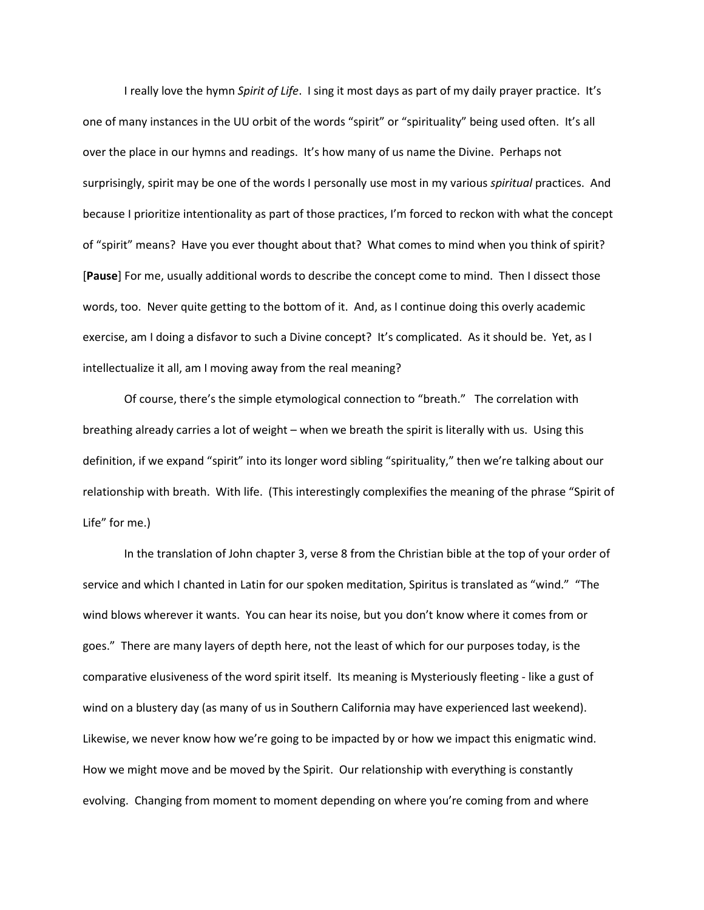I really love the hymn *Spirit of Life*. I sing it most days as part of my daily prayer practice. It's one of many instances in the UU orbit of the words "spirit" or "spirituality" being used often. It's all over the place in our hymns and readings. It's how many of us name the Divine. Perhaps not surprisingly, spirit may be one of the words I personally use most in my various *spiritual* practices. And because I prioritize intentionality as part of those practices, I'm forced to reckon with what the concept of "spirit" means? Have you ever thought about that? What comes to mind when you think of spirit? [**Pause**] For me, usually additional words to describe the concept come to mind. Then I dissect those words, too. Never quite getting to the bottom of it. And, as I continue doing this overly academic exercise, am I doing a disfavor to such a Divine concept? It's complicated. As it should be. Yet, as I intellectualize it all, am I moving away from the real meaning?

Of course, there's the simple etymological connection to "breath." The correlation with breathing already carries a lot of weight – when we breath the spirit is literally with us. Using this definition, if we expand "spirit" into its longer word sibling "spirituality," then we're talking about our relationship with breath. With life. (This interestingly complexifies the meaning of the phrase "Spirit of Life" for me.)

In the translation of John chapter 3, verse 8 from the Christian bible at the top of your order of service and which I chanted in Latin for our spoken meditation, Spiritus is translated as "wind." "The wind blows wherever it wants. You can hear its noise, but you don't know where it comes from or goes." There are many layers of depth here, not the least of which for our purposes today, is the comparative elusiveness of the word spirit itself. Its meaning is Mysteriously fleeting - like a gust of wind on a blustery day (as many of us in Southern California may have experienced last weekend). Likewise, we never know how we're going to be impacted by or how we impact this enigmatic wind. How we might move and be moved by the Spirit. Our relationship with everything is constantly evolving. Changing from moment to moment depending on where you're coming from and where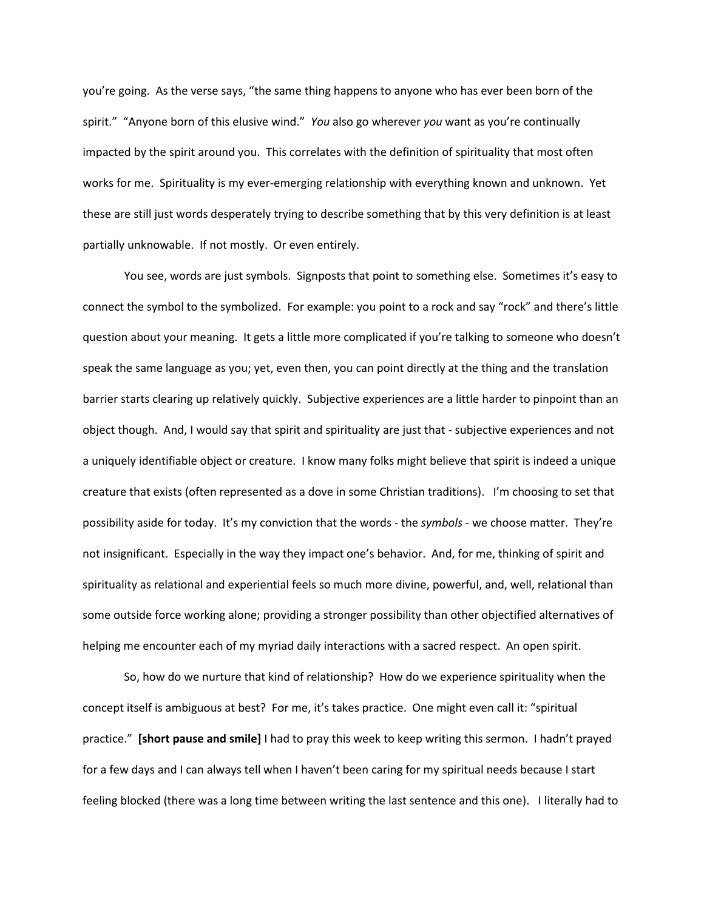you're going. As the verse says, "the same thing happens to anyone who has ever been born of the spirit." "Anyone born of this elusive wind." *You* also go wherever *you* want as you're continually impacted by the spirit around you. This correlates with the definition of spirituality that most often works for me. Spirituality is my ever-emerging relationship with everything known and unknown. Yet these are still just words desperately trying to describe something that by this very definition is at least partially unknowable. If not mostly. Or even entirely.

You see, words are just symbols. Signposts that point to something else. Sometimes it's easy to connect the symbol to the symbolized. For example: you point to a rock and say "rock" and there's little question about your meaning. It gets a little more complicated if you're talking to someone who doesn't speak the same language as you; yet, even then, you can point directly at the thing and the translation barrier starts clearing up relatively quickly. Subjective experiences are a little harder to pinpoint than an object though. And, I would say that spirit and spirituality are just that - subjective experiences and not a uniquely identifiable object or creature. I know many folks might believe that spirit is indeed a unique creature that exists (often represented as a dove in some Christian traditions). I'm choosing to set that possibility aside for today. It's my conviction that the words - the *symbols* - we choose matter. They're not insignificant. Especially in the way they impact one's behavior. And, for me, thinking of spirit and spirituality as relational and experiential feels so much more divine, powerful, and, well, relational than some outside force working alone; providing a stronger possibility than other objectified alternatives of helping me encounter each of my myriad daily interactions with a sacred respect. An open spirit.

So, how do we nurture that kind of relationship? How do we experience spirituality when the concept itself is ambiguous at best? For me, it's takes practice. One might even call it: "spiritual practice." **[short pause and smile]** I had to pray this week to keep writing this sermon. I hadn't prayed for a few days and I can always tell when I haven't been caring for my spiritual needs because I start feeling blocked (there was a long time between writing the last sentence and this one). I literally had to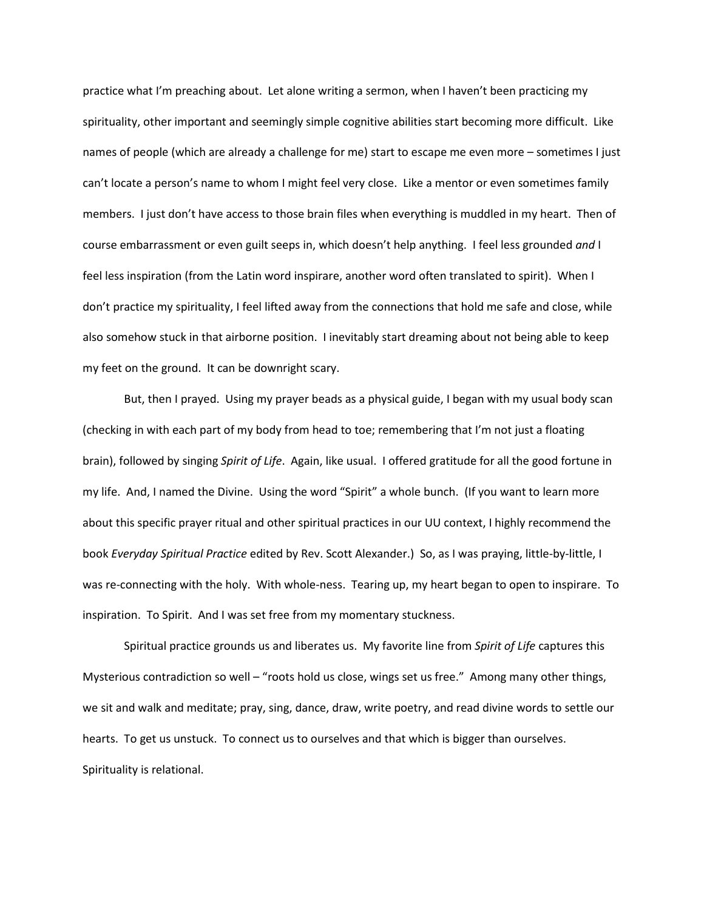practice what I'm preaching about. Let alone writing a sermon, when I haven't been practicing my spirituality, other important and seemingly simple cognitive abilities start becoming more difficult. Like names of people (which are already a challenge for me) start to escape me even more – sometimes I just can't locate a person's name to whom I might feel very close. Like a mentor or even sometimes family members. I just don't have access to those brain files when everything is muddled in my heart. Then of course embarrassment or even guilt seeps in, which doesn't help anything. I feel less grounded *and* I feel less inspiration (from the Latin word inspirare, another word often translated to spirit). When I don't practice my spirituality, I feel lifted away from the connections that hold me safe and close, while also somehow stuck in that airborne position. I inevitably start dreaming about not being able to keep my feet on the ground. It can be downright scary.

But, then I prayed. Using my prayer beads as a physical guide, I began with my usual body scan (checking in with each part of my body from head to toe; remembering that I'm not just a floating brain), followed by singing *Spirit of Life*. Again, like usual. I offered gratitude for all the good fortune in my life. And, I named the Divine. Using the word "Spirit" a whole bunch. (If you want to learn more about this specific prayer ritual and other spiritual practices in our UU context, I highly recommend the book *Everyday Spiritual Practice* edited by Rev. Scott Alexander.) So, as I was praying, little-by-little, I was re-connecting with the holy. With whole-ness. Tearing up, my heart began to open to inspirare. To inspiration. To Spirit. And I was set free from my momentary stuckness.

Spiritual practice grounds us and liberates us. My favorite line from *Spirit of Life* captures this Mysterious contradiction so well – "roots hold us close, wings set us free." Among many other things, we sit and walk and meditate; pray, sing, dance, draw, write poetry, and read divine words to settle our hearts. To get us unstuck. To connect us to ourselves and that which is bigger than ourselves. Spirituality is relational.